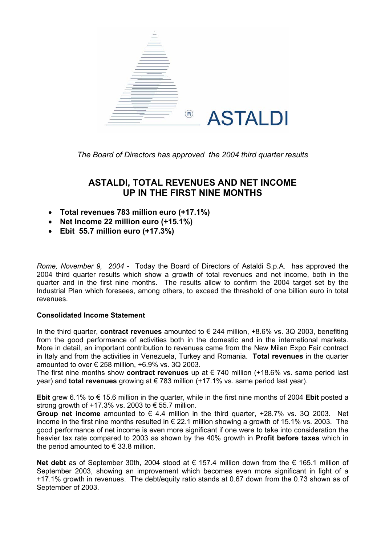

*The Board of Directors has approved the 2004 third quarter results* 

## **ASTALDI, TOTAL REVENUES AND NET INCOME UP IN THE FIRST NINE MONTHS**

- **Total revenues 783 million euro (+17.1%)**
- **Net Income 22 million euro (+15.1%)**
- **Ebit 55.7 million euro (+17.3%)**

*Rome, November 9, 2004* - Today the Board of Directors of Astaldi S.p.A. has approved the 2004 third quarter results which show a growth of total revenues and net income, both in the quarter and in the first nine months. The results allow to confirm the 2004 target set by the Industrial Plan which foresees, among others, to exceed the threshold of one billion euro in total revenues.

## **Consolidated Income Statement**

In the third quarter, **contract revenues** amounted to € 244 million, +8.6% vs. 3Q 2003, benefiting from the good performance of activities both in the domestic and in the international markets. More in detail, an important contribution to revenues came from the New Milan Expo Fair contract in Italy and from the activities in Venezuela, Turkey and Romania. **Total revenues** in the quarter amounted to over  $\epsilon$  258 million, +6.9% vs. 3Q 2003.

The first nine months show **contract revenues** up at € 740 million (+18.6% vs. same period last year) and **total revenues** growing at € 783 million (+17.1% vs. same period last year).

**Ebit** grew 6.1% to € 15.6 million in the quarter, while in the first nine months of 2004 **Ebit** posted a strong growth of  $+17.3\%$  vs. 2003 to  $\epsilon$  55.7 million.

**Group net income** amounted to  $\epsilon$  4.4 million in the third quarter,  $+28.7\%$  vs. 3Q 2003. Net income in the first nine months resulted in € 22.1 million showing a growth of 15.1% vs. 2003. The good performance of net income is even more significant if one were to take into consideration the heavier tax rate compared to 2003 as shown by the 40% growth in **Profit before taxes** which in the period amounted to  $\epsilon$  33.8 million.

**Net debt** as of September 30th, 2004 stood at € 157.4 million down from the € 165.1 million of September 2003, showing an improvement which becomes even more significant in light of a +17.1% growth in revenues. The debt/equity ratio stands at 0.67 down from the 0.73 shown as of September of 2003.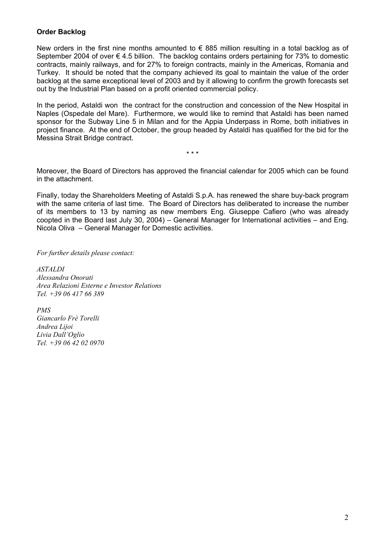## **Order Backlog**

New orders in the first nine months amounted to  $\epsilon$  885 million resulting in a total backlog as of September 2004 of over  $\epsilon$  4.5 billion. The backlog contains orders pertaining for 73% to domestic contracts, mainly railways, and for 27% to foreign contracts, mainly in the Americas, Romania and Turkey. It should be noted that the company achieved its goal to maintain the value of the order backlog at the same exceptional level of 2003 and by it allowing to confirm the growth forecasts set out by the Industrial Plan based on a profit oriented commercial policy.

In the period, Astaldi won the contract for the construction and concession of the New Hospital in Naples (Ospedale del Mare). Furthermore, we would like to remind that Astaldi has been named sponsor for the Subway Line 5 in Milan and for the Appia Underpass in Rome, both initiatives in project finance. At the end of October, the group headed by Astaldi has qualified for the bid for the Messina Strait Bridge contract.

Moreover, the Board of Directors has approved the financial calendar for 2005 which can be found in the attachment.

\* \* \*

Finally, today the Shareholders Meeting of Astaldi S.p.A. has renewed the share buy-back program with the same criteria of last time. The Board of Directors has deliberated to increase the number of its members to 13 by naming as new members Eng. Giuseppe Cafiero (who was already coopted in the Board last July 30, 2004) – General Manager for International activities – and Eng. Nicola Oliva – General Manager for Domestic activities.

### *For further details please contact:*

*ASTALDI Alessandra Onorati Area Relazioni Esterne e Investor Relations Tel. +39 06 417 66 389* 

*PMS Giancarlo Frè Torelli Andrea Lijoi Livia Dall'Oglio Tel. +39 06 42 02 0970*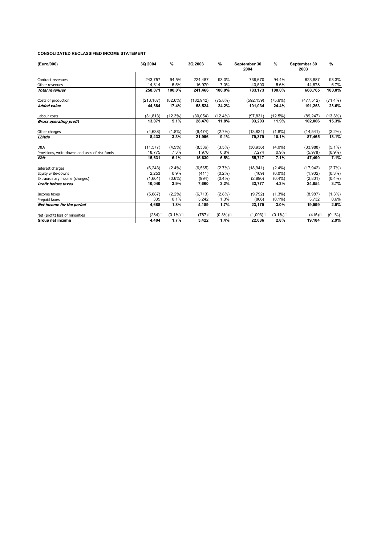#### **CONSOLIDATED RECLASSIFIED INCOME STATEMENT**

| (Euro/000)                                     | 3Q 2004    | $\%$       | 3Q 2003    | %          | September 30<br>2004 | $\%$       | September 30<br>2003 | %          |
|------------------------------------------------|------------|------------|------------|------------|----------------------|------------|----------------------|------------|
| Contract revenues                              | 243,757    | 94.5%      | 224,487    | 93.0%      | 739,670              | 94.4%      | 623,887              | 93.3%      |
| Other revenues                                 | 14.314     | 5.5%       | 16,979     | 7.0%       | 43.503               | 5.6%       | 44.878               | 6.7%       |
| <b>Total revenues</b>                          | 258,071    | 100.0%     | 241,466    | 100.0%     | 783,173              | 100.0%     | 668.765              | 100.0%     |
| Costs of production                            | (213, 187) | $(82.6\%)$ | (182, 942) | $(75.8\%)$ | (592, 139)           | $(75.6\%)$ | (477, 512)           | $(71.4\%)$ |
| <b>Added value</b>                             | 44,884     | 17.4%      | 58,524     | 24.2%      | 191,034              | 24.4%      | 191,253              | 28.6%      |
| Labour costs                                   | (31, 813)  | (12.3%)    | (30, 054)  | $(12.4\%)$ | (97, 831)            | $(12.5\%)$ | (89.247)             | $(13.3\%)$ |
| <b>Gross operating profit</b>                  | 13,071     | 5.1%       | 28,470     | 11.8%      | 93,203               | 11.9%      | 102,006              | 15.3%      |
| Other charges                                  | (4,638)    | $(1.8\%)$  | (6, 474)   | (2.7%)     | (13, 824)            | $(1.8\%)$  | (14, 541)            | $(2.2\%)$  |
| Ebitda                                         | 8,433      | 3.3%       | 21,996     | 9.1%       | 79,379               | 10.1%      | 87,465               | 13.1%      |
| D&A                                            | (11, 577)  | $(4.5\%)$  | (8,336)    | $(3.5\%)$  | (30, 936)            | $(4.0\%)$  | (33,988)             | $(5.1\%)$  |
| Provisions, write-downs and uses of risk funds | 18.775     | 7.3%       | 1,970      | 0.8%       | 7,274                | 0.9%       | (5,978)              | $(0.9\%)$  |
| <b>Ebit</b>                                    | 15,631     | 6.1%       | 15,630     | 6.5%       | 55,717               | 7.1%       | 47,499               | 7.1%       |
| Interest charges                               | (6, 243)   | $(2.4\%)$  | (6, 565)   | $(2.7\%)$  | (18, 941)            | $(2.4\%)$  | (17, 942)            | $(2.7\%)$  |
| Equity write-downs                             | 2,253      | 0.9%       | (411)      | $(0.2\%)$  | (109)                | $(0.0\%)$  | (1,902)              | $(0.3\%)$  |
| Extraordinary income (charges)                 | (1,601)    | $(0.6\%)$  | (994)      | $(0.4\%)$  | (2,890)              | $(0.4\%)$  | (2,801)              | $(0.4\%)$  |
| <b>Profit before taxes</b>                     | 10,040     | 3.9%       | 7,660      | 3.2%       | 33,777               | 4.3%       | 24,854               | 3.7%       |
| Income taxes                                   | (5,687)    | $(2.2\%)$  | (6, 713)   | $(2.8\%)$  | (9,792)              | $(1.3\%)$  | (8,987)              | $(1.3\%)$  |
| Prepaid taxes                                  | 335        | 0.1%       | 3,242      | 1.3%       | (806)                | $(0.1\%)$  | 3,732                | 0.6%       |
| Net income for the period                      | 4,688      | 1.8%       | 4,189      | 1.7%       | 23,179               | 3.0%       | 19,599               | 2.9%       |
| Net (profit) loss of minorities                | (284)      | $(0.1\%)$  | (767)      | $(0.3\%)$  | (1,093)              | $(0.1\%)$  | (415)                | $(0.1\%)$  |
| <b>Group net income</b>                        | 4.404      | 1.7%       | 3,422      | 1.4%       | 22,086               | 2.8%       | 19,184               | 2.9%       |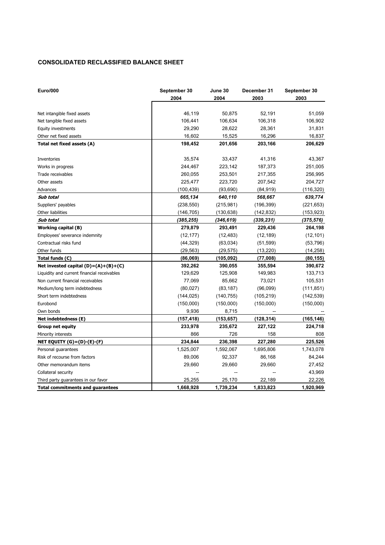### **CONSOLIDATED RECLASSIFIED BALANCE SHEET**

| <b>Euro/000</b>                             | September 30<br>2004 | June 30<br>2004 | December 31<br>2003 | September 30<br>2003 |
|---------------------------------------------|----------------------|-----------------|---------------------|----------------------|
|                                             |                      |                 |                     |                      |
| Net intangible fixed assets                 | 46,119               | 50,875          | 52,191              | 51,059               |
| Net tangible fixed assets                   | 106,441              | 106,634         | 106,318             | 106,902              |
| Equity investments                          | 29,290               | 28,622          | 28,361              | 31,831               |
| Other net fixed assets                      | 16,602               | 15,525          | 16,296              | 16,837               |
| Total net fixed assets (A)                  | 198,452              | 201,656         | 203,166             | 206,629              |
| Inventories                                 | 35,574               | 33,437          | 41,316              | 43,367               |
| Works in progress                           | 244,467              | 223,142         | 187,373             | 251,005              |
| Trade receivables                           | 260,055              | 253,501         | 217,355             | 256,995              |
| Other assets                                | 225,477              | 223,720         | 207,542             | 204,727              |
| Advances                                    | (100,439)            | (93, 690)       | (84, 919)           | (116, 320)           |
| Sub total                                   | 665,134              | 640,110         | 568,667             | 639,774              |
| Suppliers' payables                         | (238, 550)           | (215, 981)      | (196, 399)          | (221, 653)           |
| Other liabilities                           | (146, 705)           | (130, 638)      | (142, 832)          | (153, 923)           |
| Sub total                                   | (385, 255)           | (346, 619)      | (339,231)           | (375,576)            |
| <b>Working capital (B)</b>                  | 279,879              | 293,491         | 229,436             | 264,198              |
| Employees' severance indemnity              | (12, 177)            | (12, 483)       | (12, 189)           | (12, 101)            |
| Contractual risks fund                      | (44, 329)            | (63,034)        | (51, 599)           | (53, 796)            |
| Other funds                                 | (29, 563)            | (29, 575)       | (13, 220)           | (14, 258)            |
| Total funds (C)                             | (86,069)             | (105,092)       | (77,008)            | (80, 155)            |
| Net invested capital $(D)=(A)+(B)+(C)$      | 392,262              | 390,055         | 355,594             | 390,672              |
| Liquidity and current financial receivables | 129,629              | 125,908         | 149,983             | 133,713              |
| Non current financial receivables           | 77,069               | 85,662          | 73,021              | 105,531              |
| Medium/long term indebtedness               | (80,027)             | (83, 187)       | (96,099)            | (111, 851)           |
| Short term indebtedness                     | (144, 025)           | (140, 755)      | (105, 219)          | (142, 539)           |
| Eurobond                                    | (150,000)            | (150,000)       | (150,000)           | (150,000)            |
| Own bonds                                   | 9,936                | 8,715           |                     |                      |
| Net indebtedness (E)                        | (157,418)            | (153, 657)      | (128, 314)          | (165, 146)           |
| <b>Group net equity</b>                     | 233,978              | 235,672         | 227,122             | 224,718              |
| Minority interests                          | 866                  | 726             | 158                 | 808                  |
| NET EQUITY (G) = (D)-(E)-(F)                | 234,844              | 236,398         | 227,280             | 225,526              |
| Personal quarantees                         | 1,525,007            | 1,592,067       | 1,695,806           | 1,743,078            |
| Risk of recourse from factors               | 89,006               | 92,337          | 86,168              | 84,244               |
| Other memorandum items                      | 29,660               | 29,660          | 29,660              | 27,452               |
| Collateral security                         |                      |                 |                     | 43,969               |
| Third party guarantees in our favor         | 25,255               | 25,170          | 22,189              | 22,226               |
| <b>Total commitments and guarantees</b>     | 1,668,928            | 1,739,234       | 1,833,823           | 1,920,969            |